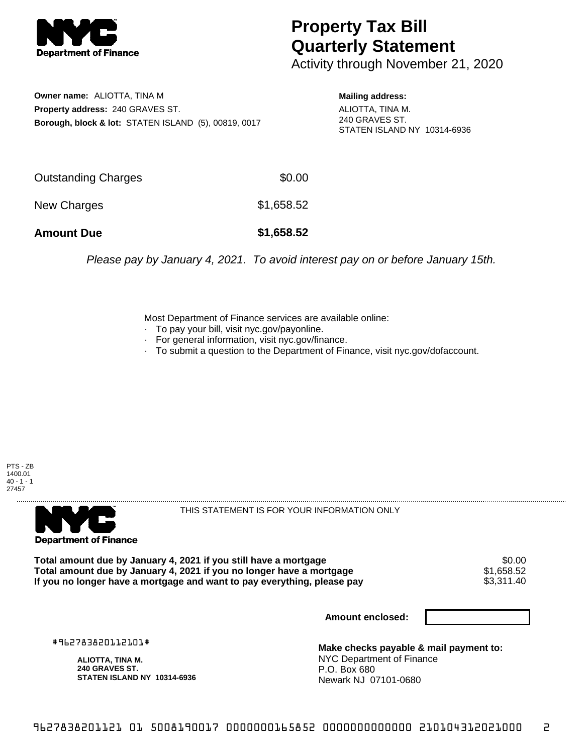

## **Property Tax Bill Quarterly Statement**

Activity through November 21, 2020

**Owner name:** ALIOTTA, TINA M **Property address:** 240 GRAVES ST. **Borough, block & lot:** STATEN ISLAND (5), 00819, 0017 **Mailing address:**

ALIOTTA, TINA M. 240 GRAVES ST. STATEN ISLAND NY 10314-6936

| <b>Amount Due</b>   | \$1,658.52 |
|---------------------|------------|
| New Charges         | \$1,658.52 |
| Outstanding Charges | \$0.00     |

Please pay by January 4, 2021. To avoid interest pay on or before January 15th.

Most Department of Finance services are available online:

- · To pay your bill, visit nyc.gov/payonline.
- For general information, visit nyc.gov/finance.
- · To submit a question to the Department of Finance, visit nyc.gov/dofaccount.





THIS STATEMENT IS FOR YOUR INFORMATION ONLY

Total amount due by January 4, 2021 if you still have a mortgage \$0.00<br>Total amount due by January 4, 2021 if you no longer have a mortgage \$1.658.52 **Total amount due by January 4, 2021 if you no longer have a mortgage**  $$1,658.52$$ **<br>If you no longer have a mortgage and want to pay everything, please pay**  $$3,311.40$$ If you no longer have a mortgage and want to pay everything, please pay

**Amount enclosed:**

#962783820112101#

**ALIOTTA, TINA M. 240 GRAVES ST. STATEN ISLAND NY 10314-6936**

**Make checks payable & mail payment to:** NYC Department of Finance P.O. Box 680 Newark NJ 07101-0680